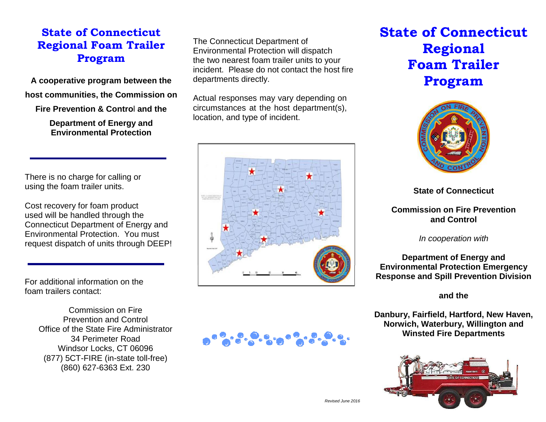# **State of Connecticut Regional Foam Trailer Program**

**A cooperative program between the host communities, the Commission on**

**Fire Prevention & Contro**l **and the**

**Department of Energy and Environmental Protection**

There is no charge for calling or using the foam trailer units.

Cost recovery for foam product used will be handled through the Connecticut Department of Energy and Environmental Protection. You must request dispatch of units through DEEP!

For additional information on the foam trailers contact:

> Commission on Fire Prevention and Control Office of the State Fire Administrator 34 Perimeter Road Windsor Locks, CT 06096 (877) 5CT-FIRE (in-state toll-free) (860) 627-6363 Ext. 230

The Connecticut Department of Environmental Protection will dispatch the two nearest foam trailer units to your incident. Please do not contact the host fire departments directly.

Actual responses may vary depending on circumstances at the host department(s), location, and type of incident.



# **State of Connecticut Regional Foam Trailer Program**



**State of Connecticut**

#### **Commission on Fire Prevention and Control**

*In cooperation with*

**Department of Energy and Environmental Protection Emergency Response and Spill Prevention Division**

**and the**

**Danbury, Fairfield, Hartford, New Haven, Norwich, Waterbury, Willington and Winsted Fire Departments**